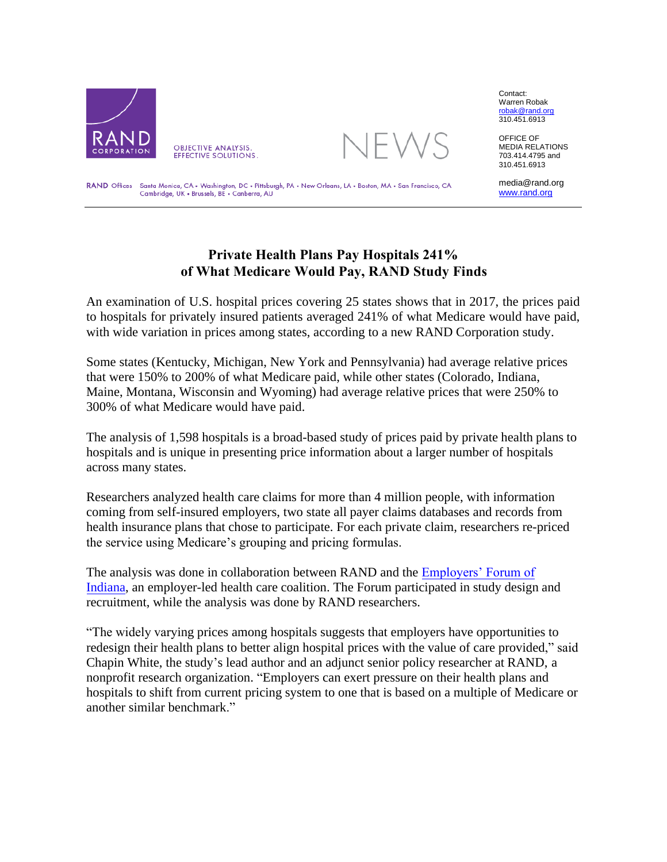



Contact: Warren Robak [robak@rand.org](mailto:robak@rand.org)  310.451.6913

OFFICE OF MEDIA RELATIONS 703.414.4795 and 310.451.6913

RAND Offices Santa Monica, CA . Washington, DC . Pittsburgh, PA . New Orleans, LA . Boston, MA . San Francisco, CA Cambridge, UK . Brussels, BE . Canberra, AU

media@rand.org [www.rand.org](http://www.rand.org/)

## **Private Health Plans Pay Hospitals 241% of What Medicare Would Pay, RAND Study Finds**

An examination of U.S. hospital prices covering 25 states shows that in 2017, the prices paid to hospitals for privately insured patients averaged 241% of what Medicare would have paid, with wide variation in prices among states, according to a new RAND Corporation study.

Some states (Kentucky, Michigan, New York and Pennsylvania) had average relative prices that were 150% to 200% of what Medicare paid, while other states (Colorado, Indiana, Maine, Montana, Wisconsin and Wyoming) had average relative prices that were 250% to 300% of what Medicare would have paid.

The analysis of 1,598 hospitals is a broad-based study of prices paid by private health plans to hospitals and is unique in presenting price information about a larger number of hospitals across many states.

Researchers analyzed health care claims for more than 4 million people, with information coming from self-insured employers, two state all payer claims databases and records from health insurance plans that chose to participate. For each private claim, researchers re-priced the service using Medicare's grouping and pricing formulas.

The analysis was done in collaboration between RAND and the Employers' Forum of Indiana, an employer-led health care coalition. The Forum participated in study design and recruitment, while the analysis was done by RAND researchers[.](https://employersforumindiana.org/) 

"The widely varying prices among hospitals suggests that employers have opportunities to redesign their health plans to better align hospital prices with the value of care provided," said Chapin White, the study's lead author and an adjunct senior policy researcher at RAND, a nonprofit research organization. "Employers can exert pressure on their health plans and hospitals to shift from current pricing system to one that is based on a multiple of Medicare or another similar benchmark."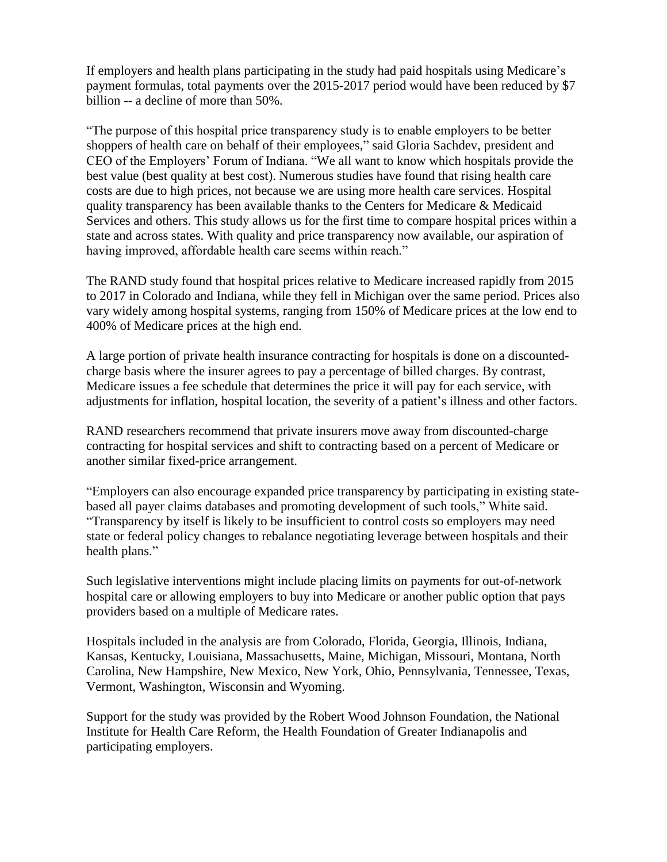If employers and health plans participating in the study had paid hospitals using Medicare's payment formulas, total payments over the 2015-2017 period would have been reduced by \$7 billion -- a decline of more than 50%.

"The purpose of this hospital price transparency study is to enable employers to be better shoppers of health care on behalf of their employees," said Gloria Sachdev, president and CEO of the Employers' Forum of Indiana. "We all want to know which hospitals provide the best value (best quality at best cost). Numerous studies have found that rising health care costs are due to high prices, not because we are using more health care services. Hospital quality transparency has been available thanks to the Centers for Medicare & Medicaid Services and others. This study allows us for the first time to compare hospital prices within a state and across states. With quality and price transparency now available, our aspiration of having improved, affordable health care seems within reach."

The RAND study found that hospital prices relative to Medicare increased rapidly from 2015 to 2017 in Colorado and Indiana, while they fell in Michigan over the same period. Prices also vary widely among hospital systems, ranging from 150% of Medicare prices at the low end to 400% of Medicare prices at the high end.

A large portion of private health insurance contracting for hospitals is done on a discountedcharge basis where the insurer agrees to pay a percentage of billed charges. By contrast, Medicare issues a fee schedule that determines the price it will pay for each service, with adjustments for inflation, hospital location, the severity of a patient's illness and other factors.

RAND researchers recommend that private insurers move away from discounted-charge contracting for hospital services and shift to contracting based on a percent of Medicare or another similar fixed-price arrangement.

"Employers can also encourage expanded price transparency by participating in existing statebased all payer claims databases and promoting development of such tools," White said. "Transparency by itself is likely to be insufficient to control costs so employers may need state or federal policy changes to rebalance negotiating leverage between hospitals and their health plans."

Such legislative interventions might include placing limits on payments for out-of-network hospital care or allowing employers to buy into Medicare or another public option that pays providers based on a multiple of Medicare rates.

Hospitals included in the analysis are from Colorado, Florida, Georgia, Illinois, Indiana, Kansas, Kentucky, Louisiana, Massachusetts, Maine, Michigan, Missouri, Montana, North Carolina, New Hampshire, New Mexico, New York, Ohio, Pennsylvania, Tennessee, Texas, Vermont, Washington, Wisconsin and Wyoming.

Support for the study was provided by the Robert Wood Johnson Foundation, the National Institute for Health Care Reform, the Health Foundation of Greater Indianapolis and participating employers.